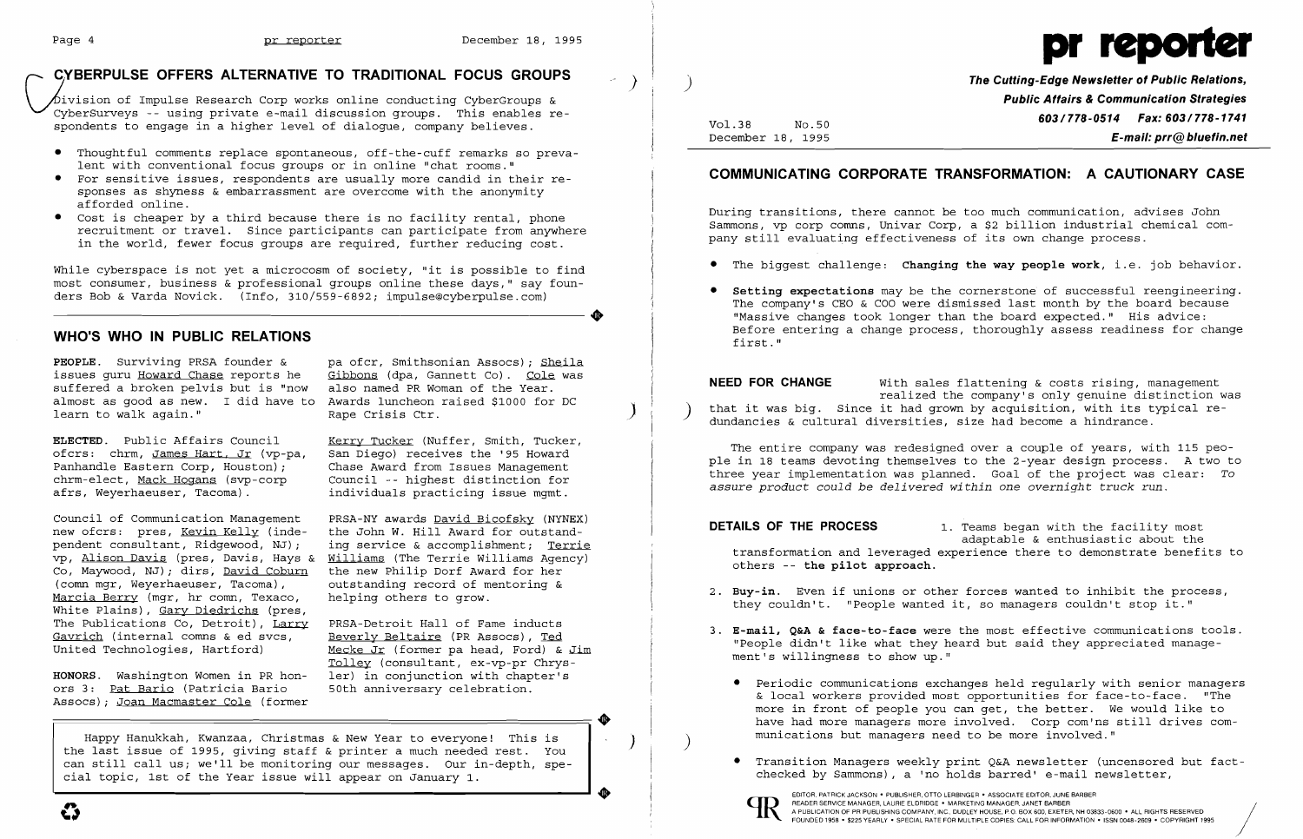# Page 4 **pr reporter December 18, 1995** provided by the Cutting-Edge Newsletter of Public Relations,

~~vision of Impulse Research Corp works online conducting CyberGroups & **Public Affairs &Communication Strategies**  CyberSurveys -- using private e-mail discussion groups. This enables re-<br>spondents to engage in a higher level of dialogue, company believes.<br>December 18, 1995 **E-mail: prr@bluefin.net** 

- Thoughtful comments replace spontaneous, off-the-cuff remarks so preva-<br>lent with conventional facus groups on in apline "shat weave." lent with conventional focus groups or in online "chat rooms."<br>• For sensitive issues, respondents are usually more candid in their re-
- sponses as shyness & embarrassment are overcome with the anonymity afforded online.<br>• Cost is cheaper by a third because there is no facility rental, phone
- 

December 18, 1995 **E-mail: prr@bluefin.net** 

While cyberspace is not yet a microcosm of society, "it is possible to find  $\qquad$  The biggest challenge: **Changing the way people work**, i.e. job behavior. most consumer, business & professional groups online these days," say foun ders Bob & Varda Novick. (Info, 310/559-6892; impulse@cyberpulse.com) **•** Setting expectations may be the cornerstone of successful reengineering. ..

## WHO'S WHO IN PUBLIC RELATIONS

**PEOPLE.** Surviving PRSA founder & pa ofcr, Smithsonian Assocs); Sheila issues quru Howard Chase reports he Gibbons (dpa, Gannett Co). Cole was issues guru <u>Howard Chase</u> reports he Gibbons (dpa, Gannett Co). Cole<br>suffered a broken pelvis but is "now also named PR Woman of the Year.

(comn mgr, Weyerhaeuser, Tacoma), outstanding record of mentoring & Marcia Berry (mgr, hr comn, Texaco, helping others to grow. Marcia Berry (mgr, hr comm, Texaco, helping others to grow.<br>White Plains), Gary Diedrichs (pres, helping others to grow. The process, they couldn't. "People wanted it, so managers couldn't stop it."<br>White Plains), Gary Die The Publications Co, Detroit), Larry PRSA-Detroit Hall of Fame inducts<br>Gavrich (internal comns & ed svcs, Beverly Beltaire (PR Assocs), Ted

Council of Communication Management PRSA-NY awards <u>David Bicofsky</u> (NYNEX)<br>new ofcrs: pres, <u>Kevin Kelly</u> (inde-the John W. Hill Award for outstand- **DETAILS OF THE PROCESS** 1. Teams began with the facility most<br>pendent c variant consultant, Ridgewood, NJ); ing service & accomplishment; <u>Terrie</u> and transformation and leveraged experience there to demonstrate benefits to<br>
Co, Maywood, NJ); dirs, <u>David Coburn</u> the new Philip Dorf Award for the new Philip Dorf Award for her

The Publications Co, Detroit), Larry PRSA-Detroit Hall of Fame inducts<br><u>Gavrich</u> (internal comms & ed svcs, <u>Beverly Beltaire</u> (PR Assocs), <u>Ted</u> show "People didn't like what they heard but said they appreciated manage-<br>U Tolley (consultant, ex-vp-pr Chrys-**HONORS.** Washington Women in PR hon- ler) in conjunction with chapter's ors 3: Pat Bario (Patricia Bario 50th anniversary celebration.

Happy Hanukkah, Kwanzaa, Christmas & New Year to everyone! This is weighting the munications but managers need to be more involved."<br>The last issue of 1995, giving staff & printer a much needed rest. You are the substrated can still call us; we'll be monitoring our messages. Our in-depth, spe- Transition Managers weekly print Q&A newsletter (uncensored our in-depth, spe- stated by Sammons), a 'no holds barred' e-mail newsletter, when the Vea cial topic, 1st of the Year issue will appear on January 1.

# COMMUNICATING CORPORATE TRANSFORMATION: A CAUTIONARY CASE

afforded online.<br>• Cost is cheaper by a third because there is no facility rental, phone<br>• Cost is cheaper by a third because there is no facility rental, phone<br>• Sammons, vp corp comns, Univar Corp, a \$2 billion industria

- 
- Before entering a change process, thoroughly assess readiness for change first."

issues guru <u>Howard Chase</u> reports he Gibbons (dpa, Gannett Co). Cole was<br>suffered a broken pelvis but is "now also named PR Woman of the Year.<br>almost as good as new. I did have to Awards luncheon raised \$1000 for DC and t

ELECTED. Public Affairs Council (Entry Tucker (Nuffer, Smith, Tucker, The entire company was redesigned over a couple of years, with 115 peo-<br>Ofcrs: chrm, <u>James Hart, Jr</u> (vp-pa, San Diego) receives the '95 Howard (Die in rannanuie Bastein Corp, Houston; Formal assure Management and the delivered was planned. Goal of the project was clear: To<br>chrm-elect, <u>Mack Hogans</u> (svp-corp founcil -- highest distinction for formal assure product could

- 
- -
	-



The company's CEO & COO were dismissed last month by the board because "Massive changes took longer than the board expected." His advice:

Periodic communications exchanges held regularly with senior managers ors 3: Pat Bario (Patricia Bario 50th anniversary celebration.<br>
Assocs); Joan Macmaster Cole (former with senior of the senior of the senior of the seni more in front of people you can get, the better. We would like to have had more managers more involved. Corp com'ns still drives com-<br>munications but managers need to be more involved."

 $\bigg/$ 

EDITOR, PATRICK JACKSON· PUBLISHER, OTTO LERBINGER • ASSOCIATE EDITOR, JUNE BARBER READER SERVICE MANAGER, LAURIE ELDRIDGE· MARKETING MANAGER, JANET BARBER



..